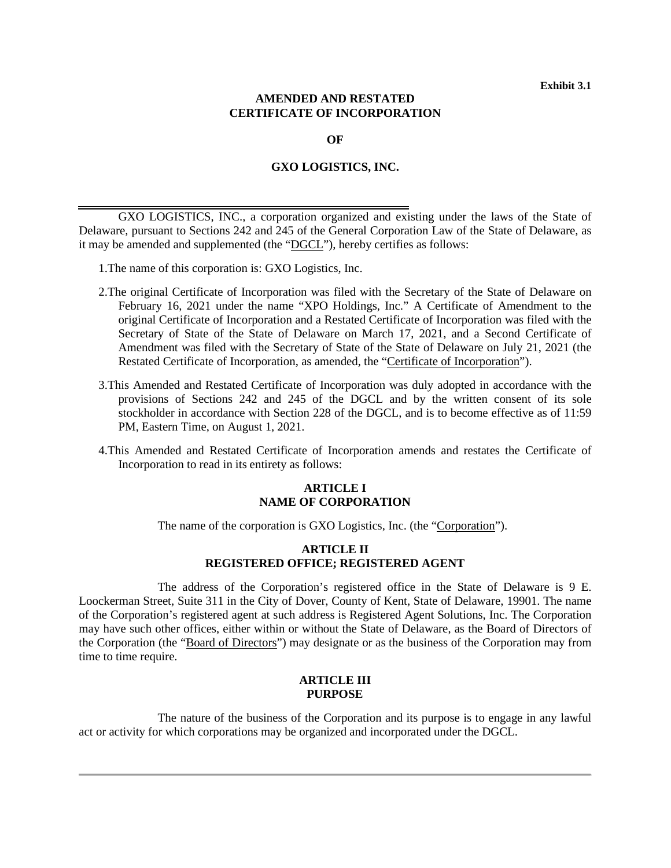## **AMENDED AND RESTATED CERTIFICATE OF INCORPORATION**

**OF**

### **GXO LOGISTICS, INC.**

GXO LOGISTICS, INC., a corporation organized and existing under the laws of the State of Delaware, pursuant to Sections 242 and 245 of the General Corporation Law of the State of Delaware, as it may be amended and supplemented (the "DGCL"), hereby certifies as follows:

- 1.The name of this corporation is: GXO Logistics, Inc.
- 2.The original Certificate of Incorporation was filed with the Secretary of the State of Delaware on February 16, 2021 under the name "XPO Holdings, Inc." A Certificate of Amendment to the original Certificate of Incorporation and a Restated Certificate of Incorporation was filed with the Secretary of State of the State of Delaware on March 17, 2021, and a Second Certificate of Amendment was filed with the Secretary of State of the State of Delaware on July 21, 2021 (the Restated Certificate of Incorporation, as amended, the "Certificate of Incorporation").
- 3.This Amended and Restated Certificate of Incorporation was duly adopted in accordance with the provisions of Sections 242 and 245 of the DGCL and by the written consent of its sole stockholder in accordance with Section 228 of the DGCL, and is to become effective as of 11:59 PM, Eastern Time, on August 1, 2021.
- 4.This Amended and Restated Certificate of Incorporation amends and restates the Certificate of Incorporation to read in its entirety as follows:

# **ARTICLE I NAME OF CORPORATION**

The name of the corporation is GXO Logistics, Inc. (the "Corporation").

## **ARTICLE II REGISTERED OFFICE; REGISTERED AGENT**

The address of the Corporation's registered office in the State of Delaware is 9 E. Loockerman Street, Suite 311 in the City of Dover, County of Kent, State of Delaware, 19901. The name of the Corporation's registered agent at such address is Registered Agent Solutions, Inc. The Corporation may have such other offices, either within or without the State of Delaware, as the Board of Directors of the Corporation (the "Board of Directors") may designate or as the business of the Corporation may from time to time require.

## **ARTICLE III PURPOSE**

The nature of the business of the Corporation and its purpose is to engage in any lawful act or activity for which corporations may be organized and incorporated under the DGCL.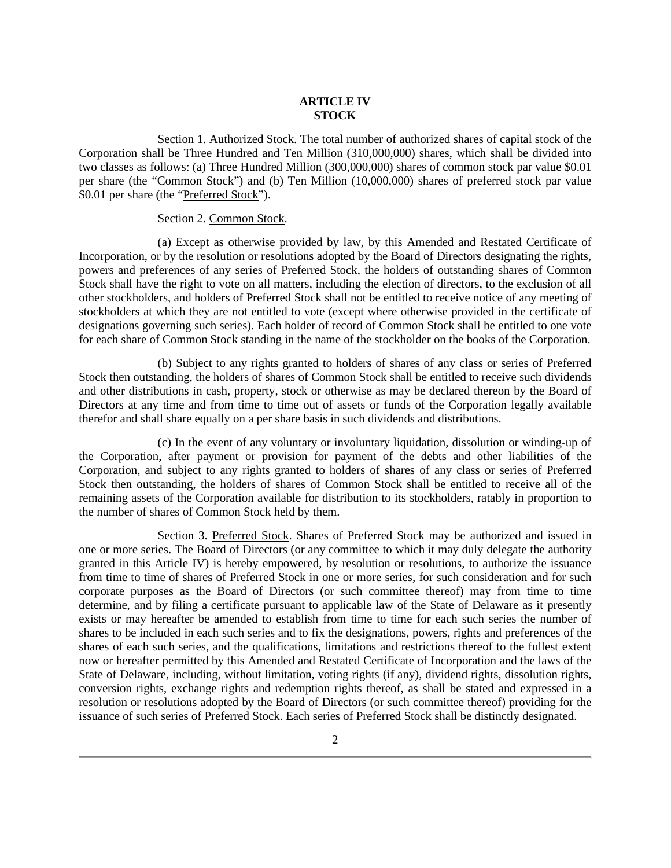# **ARTICLE IV STOCK**

Section 1. Authorized Stock. The total number of authorized shares of capital stock of the Corporation shall be Three Hundred and Ten Million (310,000,000) shares, which shall be divided into two classes as follows: (a) Three Hundred Million (300,000,000) shares of common stock par value \$0.01 per share (the "Common Stock") and (b) Ten Million (10,000,000) shares of preferred stock par value \$0.01 per share (the "Preferred Stock").

### Section 2. Common Stock.

(a) Except as otherwise provided by law, by this Amended and Restated Certificate of Incorporation, or by the resolution or resolutions adopted by the Board of Directors designating the rights, powers and preferences of any series of Preferred Stock, the holders of outstanding shares of Common Stock shall have the right to vote on all matters, including the election of directors, to the exclusion of all other stockholders, and holders of Preferred Stock shall not be entitled to receive notice of any meeting of stockholders at which they are not entitled to vote (except where otherwise provided in the certificate of designations governing such series). Each holder of record of Common Stock shall be entitled to one vote for each share of Common Stock standing in the name of the stockholder on the books of the Corporation.

(b) Subject to any rights granted to holders of shares of any class or series of Preferred Stock then outstanding, the holders of shares of Common Stock shall be entitled to receive such dividends and other distributions in cash, property, stock or otherwise as may be declared thereon by the Board of Directors at any time and from time to time out of assets or funds of the Corporation legally available therefor and shall share equally on a per share basis in such dividends and distributions.

(c) In the event of any voluntary or involuntary liquidation, dissolution or winding-up of the Corporation, after payment or provision for payment of the debts and other liabilities of the Corporation, and subject to any rights granted to holders of shares of any class or series of Preferred Stock then outstanding, the holders of shares of Common Stock shall be entitled to receive all of the remaining assets of the Corporation available for distribution to its stockholders, ratably in proportion to the number of shares of Common Stock held by them.

Section 3. Preferred Stock. Shares of Preferred Stock may be authorized and issued in one or more series. The Board of Directors (or any committee to which it may duly delegate the authority granted in this Article IV) is hereby empowered, by resolution or resolutions, to authorize the issuance from time to time of shares of Preferred Stock in one or more series, for such consideration and for such corporate purposes as the Board of Directors (or such committee thereof) may from time to time determine, and by filing a certificate pursuant to applicable law of the State of Delaware as it presently exists or may hereafter be amended to establish from time to time for each such series the number of shares to be included in each such series and to fix the designations, powers, rights and preferences of the shares of each such series, and the qualifications, limitations and restrictions thereof to the fullest extent now or hereafter permitted by this Amended and Restated Certificate of Incorporation and the laws of the State of Delaware, including, without limitation, voting rights (if any), dividend rights, dissolution rights, conversion rights, exchange rights and redemption rights thereof, as shall be stated and expressed in a resolution or resolutions adopted by the Board of Directors (or such committee thereof) providing for the issuance of such series of Preferred Stock. Each series of Preferred Stock shall be distinctly designated.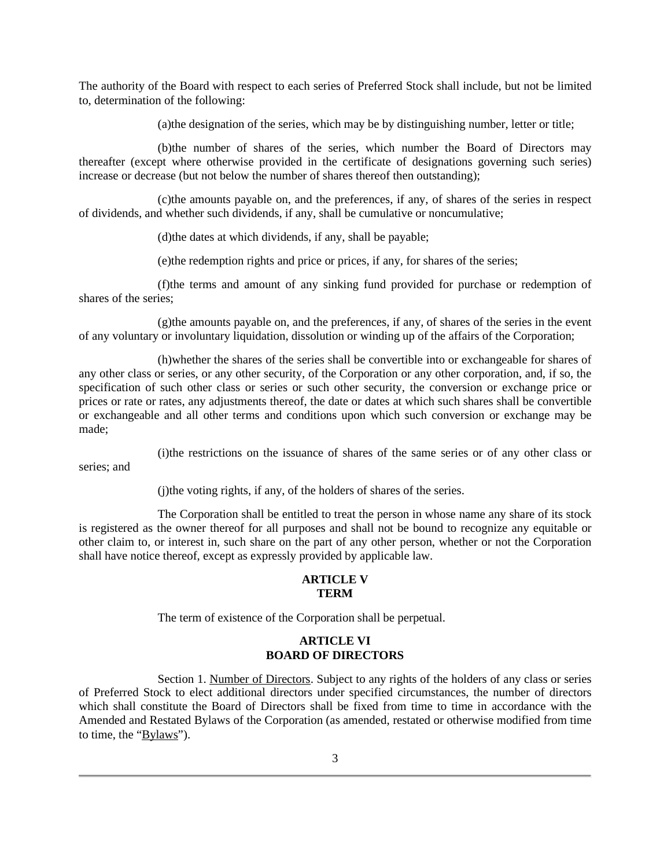The authority of the Board with respect to each series of Preferred Stock shall include, but not be limited to, determination of the following:

(a)the designation of the series, which may be by distinguishing number, letter or title;

(b)the number of shares of the series, which number the Board of Directors may thereafter (except where otherwise provided in the certificate of designations governing such series) increase or decrease (but not below the number of shares thereof then outstanding);

(c)the amounts payable on, and the preferences, if any, of shares of the series in respect of dividends, and whether such dividends, if any, shall be cumulative or noncumulative;

(d)the dates at which dividends, if any, shall be payable;

(e)the redemption rights and price or prices, if any, for shares of the series;

(f)the terms and amount of any sinking fund provided for purchase or redemption of shares of the series;

(g)the amounts payable on, and the preferences, if any, of shares of the series in the event of any voluntary or involuntary liquidation, dissolution or winding up of the affairs of the Corporation;

(h)whether the shares of the series shall be convertible into or exchangeable for shares of any other class or series, or any other security, of the Corporation or any other corporation, and, if so, the specification of such other class or series or such other security, the conversion or exchange price or prices or rate or rates, any adjustments thereof, the date or dates at which such shares shall be convertible or exchangeable and all other terms and conditions upon which such conversion or exchange may be made;

(i)the restrictions on the issuance of shares of the same series or of any other class or

series; and

(j)the voting rights, if any, of the holders of shares of the series.

The Corporation shall be entitled to treat the person in whose name any share of its stock is registered as the owner thereof for all purposes and shall not be bound to recognize any equitable or other claim to, or interest in, such share on the part of any other person, whether or not the Corporation shall have notice thereof, except as expressly provided by applicable law.

### **ARTICLE V TERM**

The term of existence of the Corporation shall be perpetual.

# **ARTICLE VI BOARD OF DIRECTORS**

Section 1. Number of Directors. Subject to any rights of the holders of any class or series of Preferred Stock to elect additional directors under specified circumstances, the number of directors which shall constitute the Board of Directors shall be fixed from time to time in accordance with the Amended and Restated Bylaws of the Corporation (as amended, restated or otherwise modified from time to time, the "Bylaws").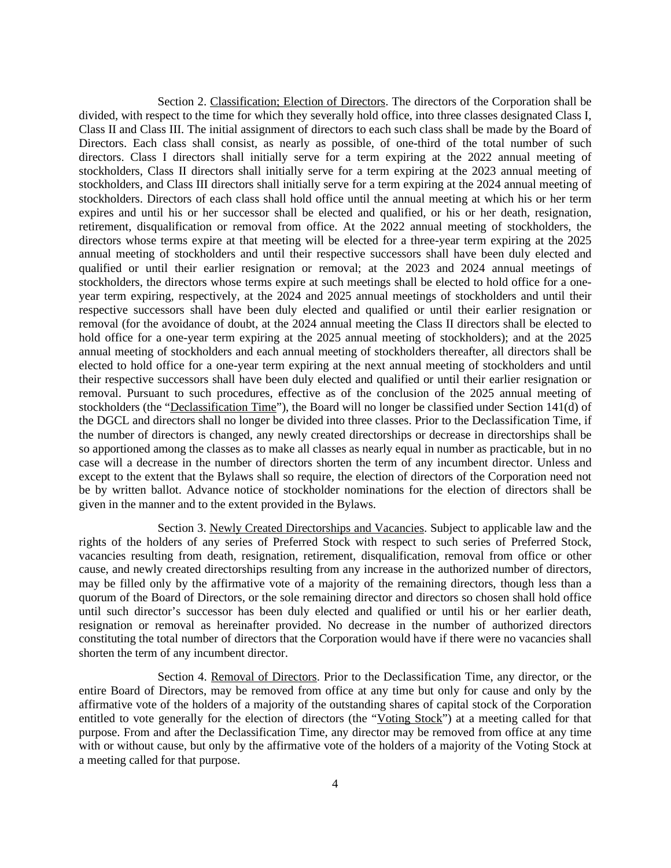Section 2. Classification; Election of Directors. The directors of the Corporation shall be divided, with respect to the time for which they severally hold office, into three classes designated Class I, Class II and Class III. The initial assignment of directors to each such class shall be made by the Board of Directors. Each class shall consist, as nearly as possible, of one-third of the total number of such directors. Class I directors shall initially serve for a term expiring at the 2022 annual meeting of stockholders, Class II directors shall initially serve for a term expiring at the 2023 annual meeting of stockholders, and Class III directors shall initially serve for a term expiring at the 2024 annual meeting of stockholders. Directors of each class shall hold office until the annual meeting at which his or her term expires and until his or her successor shall be elected and qualified, or his or her death, resignation, retirement, disqualification or removal from office. At the 2022 annual meeting of stockholders, the directors whose terms expire at that meeting will be elected for a three-year term expiring at the 2025 annual meeting of stockholders and until their respective successors shall have been duly elected and qualified or until their earlier resignation or removal; at the 2023 and 2024 annual meetings of stockholders, the directors whose terms expire at such meetings shall be elected to hold office for a oneyear term expiring, respectively, at the 2024 and 2025 annual meetings of stockholders and until their respective successors shall have been duly elected and qualified or until their earlier resignation or removal (for the avoidance of doubt, at the 2024 annual meeting the Class II directors shall be elected to hold office for a one-year term expiring at the 2025 annual meeting of stockholders); and at the 2025 annual meeting of stockholders and each annual meeting of stockholders thereafter, all directors shall be elected to hold office for a one-year term expiring at the next annual meeting of stockholders and until their respective successors shall have been duly elected and qualified or until their earlier resignation or removal. Pursuant to such procedures, effective as of the conclusion of the 2025 annual meeting of stockholders (the "Declassification Time"), the Board will no longer be classified under Section 141(d) of the DGCL and directors shall no longer be divided into three classes. Prior to the Declassification Time, if the number of directors is changed, any newly created directorships or decrease in directorships shall be so apportioned among the classes as to make all classes as nearly equal in number as practicable, but in no case will a decrease in the number of directors shorten the term of any incumbent director. Unless and except to the extent that the Bylaws shall so require, the election of directors of the Corporation need not be by written ballot. Advance notice of stockholder nominations for the election of directors shall be given in the manner and to the extent provided in the Bylaws.

Section 3. Newly Created Directorships and Vacancies. Subject to applicable law and the rights of the holders of any series of Preferred Stock with respect to such series of Preferred Stock, vacancies resulting from death, resignation, retirement, disqualification, removal from office or other cause, and newly created directorships resulting from any increase in the authorized number of directors, may be filled only by the affirmative vote of a majority of the remaining directors, though less than a quorum of the Board of Directors, or the sole remaining director and directors so chosen shall hold office until such director's successor has been duly elected and qualified or until his or her earlier death, resignation or removal as hereinafter provided. No decrease in the number of authorized directors constituting the total number of directors that the Corporation would have if there were no vacancies shall shorten the term of any incumbent director.

Section 4. Removal of Directors. Prior to the Declassification Time, any director, or the entire Board of Directors, may be removed from office at any time but only for cause and only by the affirmative vote of the holders of a majority of the outstanding shares of capital stock of the Corporation entitled to vote generally for the election of directors (the "Voting Stock") at a meeting called for that purpose. From and after the Declassification Time, any director may be removed from office at any time with or without cause, but only by the affirmative vote of the holders of a majority of the Voting Stock at a meeting called for that purpose.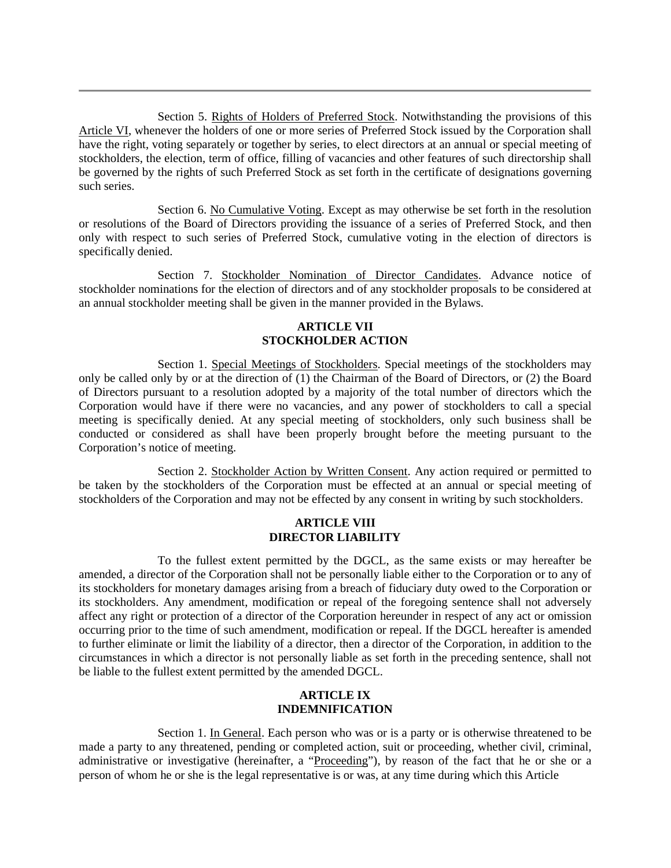Section 5. Rights of Holders of Preferred Stock. Notwithstanding the provisions of this Article VI, whenever the holders of one or more series of Preferred Stock issued by the Corporation shall have the right, voting separately or together by series, to elect directors at an annual or special meeting of stockholders, the election, term of office, filling of vacancies and other features of such directorship shall be governed by the rights of such Preferred Stock as set forth in the certificate of designations governing such series.

Section 6. No Cumulative Voting. Except as may otherwise be set forth in the resolution or resolutions of the Board of Directors providing the issuance of a series of Preferred Stock, and then only with respect to such series of Preferred Stock, cumulative voting in the election of directors is specifically denied.

Section 7. Stockholder Nomination of Director Candidates. Advance notice of stockholder nominations for the election of directors and of any stockholder proposals to be considered at an annual stockholder meeting shall be given in the manner provided in the Bylaws.

# **ARTICLE VII STOCKHOLDER ACTION**

Section 1. Special Meetings of Stockholders. Special meetings of the stockholders may only be called only by or at the direction of (1) the Chairman of the Board of Directors, or (2) the Board of Directors pursuant to a resolution adopted by a majority of the total number of directors which the Corporation would have if there were no vacancies, and any power of stockholders to call a special meeting is specifically denied. At any special meeting of stockholders, only such business shall be conducted or considered as shall have been properly brought before the meeting pursuant to the Corporation's notice of meeting.

Section 2. Stockholder Action by Written Consent. Any action required or permitted to be taken by the stockholders of the Corporation must be effected at an annual or special meeting of stockholders of the Corporation and may not be effected by any consent in writing by such stockholders.

## **ARTICLE VIII DIRECTOR LIABILITY**

To the fullest extent permitted by the DGCL, as the same exists or may hereafter be amended, a director of the Corporation shall not be personally liable either to the Corporation or to any of its stockholders for monetary damages arising from a breach of fiduciary duty owed to the Corporation or its stockholders. Any amendment, modification or repeal of the foregoing sentence shall not adversely affect any right or protection of a director of the Corporation hereunder in respect of any act or omission occurring prior to the time of such amendment, modification or repeal. If the DGCL hereafter is amended to further eliminate or limit the liability of a director, then a director of the Corporation, in addition to the circumstances in which a director is not personally liable as set forth in the preceding sentence, shall not be liable to the fullest extent permitted by the amended DGCL.

# **ARTICLE IX INDEMNIFICATION**

Section 1. In General. Each person who was or is a party or is otherwise threatened to be made a party to any threatened, pending or completed action, suit or proceeding, whether civil, criminal, administrative or investigative (hereinafter, a "Proceeding"), by reason of the fact that he or she or a person of whom he or she is the legal representative is or was, at any time during which this Article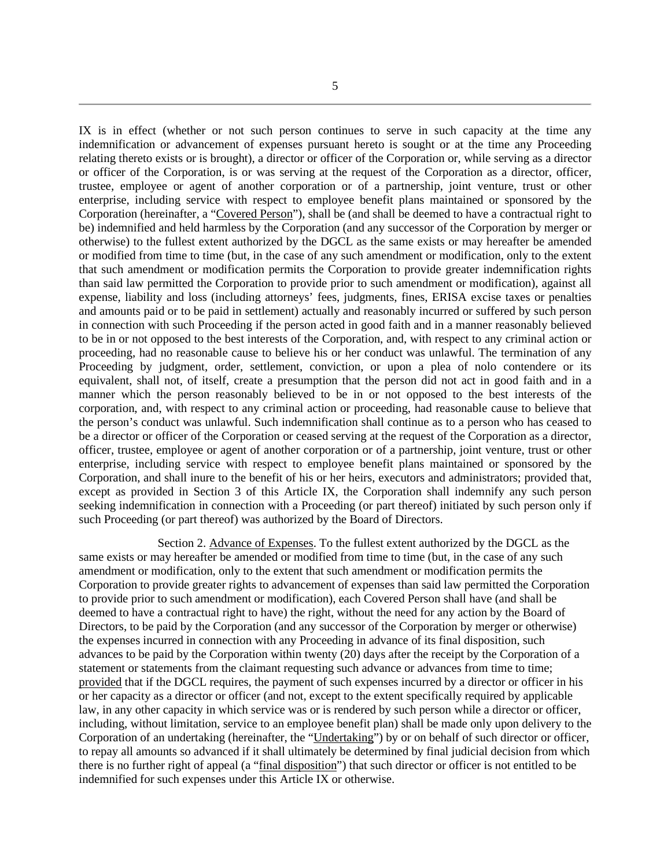IX is in effect (whether or not such person continues to serve in such capacity at the time any indemnification or advancement of expenses pursuant hereto is sought or at the time any Proceeding relating thereto exists or is brought), a director or officer of the Corporation or, while serving as a director or officer of the Corporation, is or was serving at the request of the Corporation as a director, officer, trustee, employee or agent of another corporation or of a partnership, joint venture, trust or other enterprise, including service with respect to employee benefit plans maintained or sponsored by the Corporation (hereinafter, a "Covered Person"), shall be (and shall be deemed to have a contractual right to be) indemnified and held harmless by the Corporation (and any successor of the Corporation by merger or otherwise) to the fullest extent authorized by the DGCL as the same exists or may hereafter be amended or modified from time to time (but, in the case of any such amendment or modification, only to the extent that such amendment or modification permits the Corporation to provide greater indemnification rights than said law permitted the Corporation to provide prior to such amendment or modification), against all expense, liability and loss (including attorneys' fees, judgments, fines, ERISA excise taxes or penalties and amounts paid or to be paid in settlement) actually and reasonably incurred or suffered by such person in connection with such Proceeding if the person acted in good faith and in a manner reasonably believed to be in or not opposed to the best interests of the Corporation, and, with respect to any criminal action or proceeding, had no reasonable cause to believe his or her conduct was unlawful. The termination of any Proceeding by judgment, order, settlement, conviction, or upon a plea of nolo contendere or its equivalent, shall not, of itself, create a presumption that the person did not act in good faith and in a manner which the person reasonably believed to be in or not opposed to the best interests of the corporation, and, with respect to any criminal action or proceeding, had reasonable cause to believe that the person's conduct was unlawful. Such indemnification shall continue as to a person who has ceased to be a director or officer of the Corporation or ceased serving at the request of the Corporation as a director, officer, trustee, employee or agent of another corporation or of a partnership, joint venture, trust or other enterprise, including service with respect to employee benefit plans maintained or sponsored by the Corporation, and shall inure to the benefit of his or her heirs, executors and administrators; provided that, except as provided in Section 3 of this Article IX, the Corporation shall indemnify any such person seeking indemnification in connection with a Proceeding (or part thereof) initiated by such person only if such Proceeding (or part thereof) was authorized by the Board of Directors.

Section 2. Advance of Expenses. To the fullest extent authorized by the DGCL as the same exists or may hereafter be amended or modified from time to time (but, in the case of any such amendment or modification, only to the extent that such amendment or modification permits the Corporation to provide greater rights to advancement of expenses than said law permitted the Corporation to provide prior to such amendment or modification), each Covered Person shall have (and shall be deemed to have a contractual right to have) the right, without the need for any action by the Board of Directors, to be paid by the Corporation (and any successor of the Corporation by merger or otherwise) the expenses incurred in connection with any Proceeding in advance of its final disposition, such advances to be paid by the Corporation within twenty (20) days after the receipt by the Corporation of a statement or statements from the claimant requesting such advance or advances from time to time; provided that if the DGCL requires, the payment of such expenses incurred by a director or officer in his or her capacity as a director or officer (and not, except to the extent specifically required by applicable law, in any other capacity in which service was or is rendered by such person while a director or officer, including, without limitation, service to an employee benefit plan) shall be made only upon delivery to the Corporation of an undertaking (hereinafter, the "Undertaking") by or on behalf of such director or officer, to repay all amounts so advanced if it shall ultimately be determined by final judicial decision from which there is no further right of appeal (a "final disposition") that such director or officer is not entitled to be indemnified for such expenses under this Article IX or otherwise.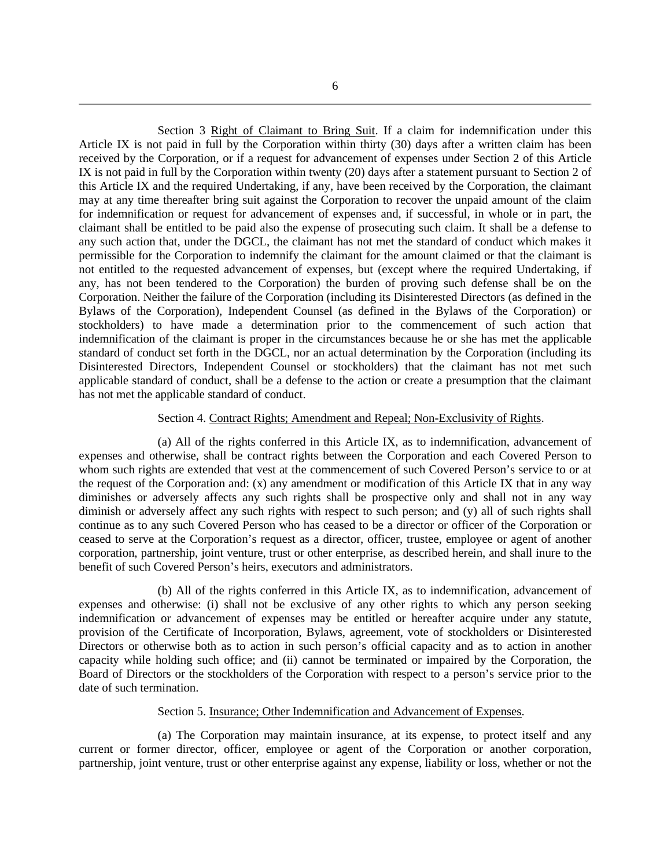Section 3 Right of Claimant to Bring Suit. If a claim for indemnification under this Article IX is not paid in full by the Corporation within thirty (30) days after a written claim has been received by the Corporation, or if a request for advancement of expenses under Section 2 of this Article IX is not paid in full by the Corporation within twenty (20) days after a statement pursuant to Section 2 of this Article IX and the required Undertaking, if any, have been received by the Corporation, the claimant may at any time thereafter bring suit against the Corporation to recover the unpaid amount of the claim for indemnification or request for advancement of expenses and, if successful, in whole or in part, the claimant shall be entitled to be paid also the expense of prosecuting such claim. It shall be a defense to any such action that, under the DGCL, the claimant has not met the standard of conduct which makes it permissible for the Corporation to indemnify the claimant for the amount claimed or that the claimant is not entitled to the requested advancement of expenses, but (except where the required Undertaking, if any, has not been tendered to the Corporation) the burden of proving such defense shall be on the Corporation. Neither the failure of the Corporation (including its Disinterested Directors (as defined in the Bylaws of the Corporation), Independent Counsel (as defined in the Bylaws of the Corporation) or stockholders) to have made a determination prior to the commencement of such action that indemnification of the claimant is proper in the circumstances because he or she has met the applicable standard of conduct set forth in the DGCL, nor an actual determination by the Corporation (including its Disinterested Directors, Independent Counsel or stockholders) that the claimant has not met such applicable standard of conduct, shall be a defense to the action or create a presumption that the claimant has not met the applicable standard of conduct.

### Section 4. Contract Rights; Amendment and Repeal; Non-Exclusivity of Rights.

(a) All of the rights conferred in this Article IX, as to indemnification, advancement of expenses and otherwise, shall be contract rights between the Corporation and each Covered Person to whom such rights are extended that vest at the commencement of such Covered Person's service to or at the request of the Corporation and: (x) any amendment or modification of this Article IX that in any way diminishes or adversely affects any such rights shall be prospective only and shall not in any way diminish or adversely affect any such rights with respect to such person; and (y) all of such rights shall continue as to any such Covered Person who has ceased to be a director or officer of the Corporation or ceased to serve at the Corporation's request as a director, officer, trustee, employee or agent of another corporation, partnership, joint venture, trust or other enterprise, as described herein, and shall inure to the benefit of such Covered Person's heirs, executors and administrators.

(b) All of the rights conferred in this Article IX, as to indemnification, advancement of expenses and otherwise: (i) shall not be exclusive of any other rights to which any person seeking indemnification or advancement of expenses may be entitled or hereafter acquire under any statute, provision of the Certificate of Incorporation, Bylaws, agreement, vote of stockholders or Disinterested Directors or otherwise both as to action in such person's official capacity and as to action in another capacity while holding such office; and (ii) cannot be terminated or impaired by the Corporation, the Board of Directors or the stockholders of the Corporation with respect to a person's service prior to the date of such termination.

### Section 5. Insurance; Other Indemnification and Advancement of Expenses.

(a) The Corporation may maintain insurance, at its expense, to protect itself and any current or former director, officer, employee or agent of the Corporation or another corporation, partnership, joint venture, trust or other enterprise against any expense, liability or loss, whether or not the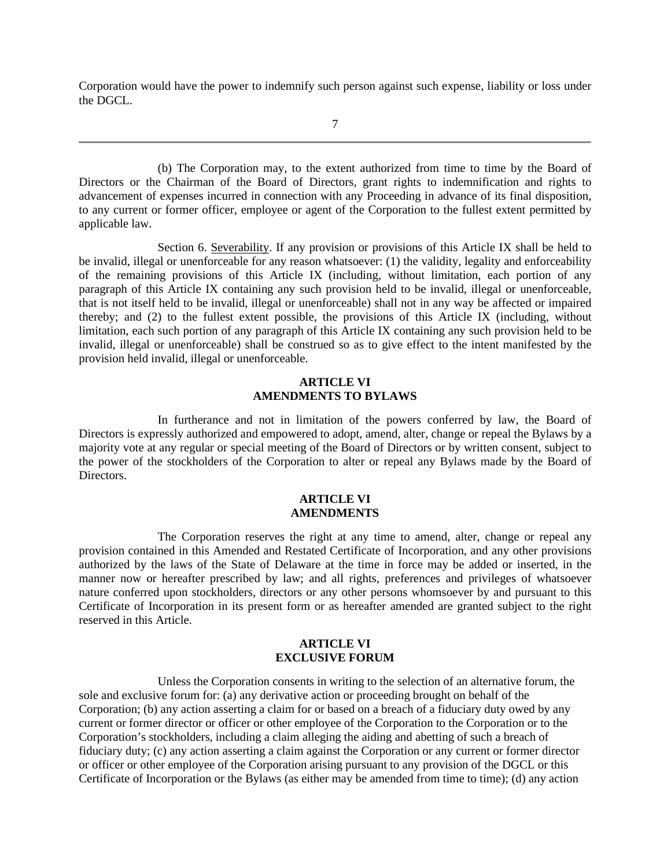Corporation would have the power to indemnify such person against such expense, liability or loss under the DGCL.

7

(b) The Corporation may, to the extent authorized from time to time by the Board of Directors or the Chairman of the Board of Directors, grant rights to indemnification and rights to advancement of expenses incurred in connection with any Proceeding in advance of its final disposition, to any current or former officer, employee or agent of the Corporation to the fullest extent permitted by applicable law.

Section 6. Severability. If any provision or provisions of this Article IX shall be held to be invalid, illegal or unenforceable for any reason whatsoever: (1) the validity, legality and enforceability of the remaining provisions of this Article IX (including, without limitation, each portion of any paragraph of this Article IX containing any such provision held to be invalid, illegal or unenforceable, that is not itself held to be invalid, illegal or unenforceable) shall not in any way be affected or impaired thereby; and (2) to the fullest extent possible, the provisions of this Article IX (including, without limitation, each such portion of any paragraph of this Article IX containing any such provision held to be invalid, illegal or unenforceable) shall be construed so as to give effect to the intent manifested by the provision held invalid, illegal or unenforceable.

## **ARTICLE VI AMENDMENTS TO BYLAWS**

In furtherance and not in limitation of the powers conferred by law, the Board of Directors is expressly authorized and empowered to adopt, amend, alter, change or repeal the Bylaws by a majority vote at any regular or special meeting of the Board of Directors or by written consent, subject to the power of the stockholders of the Corporation to alter or repeal any Bylaws made by the Board of **Directors** 

### **ARTICLE VI AMENDMENTS**

The Corporation reserves the right at any time to amend, alter, change or repeal any provision contained in this Amended and Restated Certificate of Incorporation, and any other provisions authorized by the laws of the State of Delaware at the time in force may be added or inserted, in the manner now or hereafter prescribed by law; and all rights, preferences and privileges of whatsoever nature conferred upon stockholders, directors or any other persons whomsoever by and pursuant to this Certificate of Incorporation in its present form or as hereafter amended are granted subject to the right reserved in this Article.

# **ARTICLE VI EXCLUSIVE FORUM**

Unless the Corporation consents in writing to the selection of an alternative forum, the sole and exclusive forum for: (a) any derivative action or proceeding brought on behalf of the Corporation; (b) any action asserting a claim for or based on a breach of a fiduciary duty owed by any current or former director or officer or other employee of the Corporation to the Corporation or to the Corporation's stockholders, including a claim alleging the aiding and abetting of such a breach of fiduciary duty; (c) any action asserting a claim against the Corporation or any current or former director or officer or other employee of the Corporation arising pursuant to any provision of the DGCL or this Certificate of Incorporation or the Bylaws (as either may be amended from time to time); (d) any action